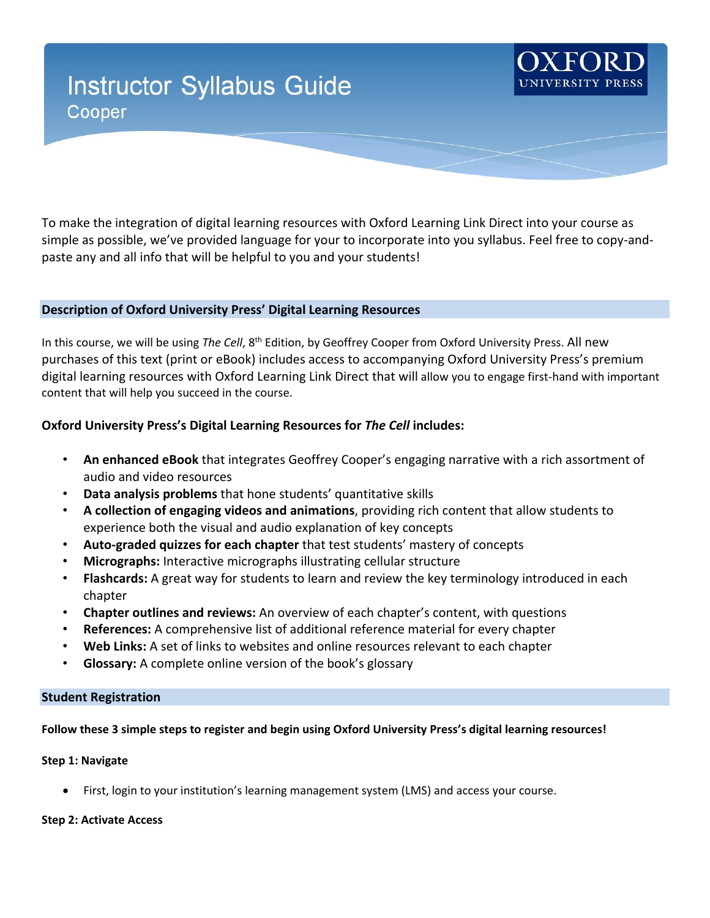# **Instructor Syllabus Guide** Cooper



To make the integration of digital learning resources with Oxford Learning Link Direct into your course as simple as possible, we've provided language for your to incorporate into you syllabus. Feel free to copy-andpaste any and all info that will be helpful to you and your students!

### **Description of Oxford University Press' Digital Learning Resources**

In this course, we will be using *The Cell*, 8<sup>th</sup> Edition, by Geoffrey Cooper from Oxford University Press. All new purchases of this text (print or eBook) includes access to accompanying Oxford University Press's premium digital learning resources with Oxford Learning Link Direct that will allow you to engage first-hand with important content that will help you succeed in the course.

## **Oxford University Press's Digital Learning Resources for** *The Cell* **includes:**

- **An enhanced eBook** that integrates Geoffrey Cooper's engaging narrative with a rich assortment of audio and video resources
- **Data analysis problems** that hone students' quantitative skills
- **A collection of engaging videos and animations**, providing rich content that allow students to experience both the visual and audio explanation of key concepts
- **Auto-graded quizzes for each chapter** that test students' mastery of concepts
- **Micrographs:** Interactive micrographs illustrating cellular structure
- **Flashcards:** A great way for students to learn and review the key terminology introduced in each chapter
- **Chapter outlines and reviews:** An overview of each chapter's content, with questions
- **References:** A comprehensive list of additional reference material for every chapter
- **Web Links:** A set of links to websites and online resources relevant to each chapter
- **Glossary:** A complete online version of the book's glossary

# **Student Registration**

# **Follow these 3 simple steps to register and begin using Oxford University Press's digital learning resources!**

### **Step 1: Navigate**

• First, login to your institution's learning management system (LMS) and access your course.

#### **Step 2: Activate Access**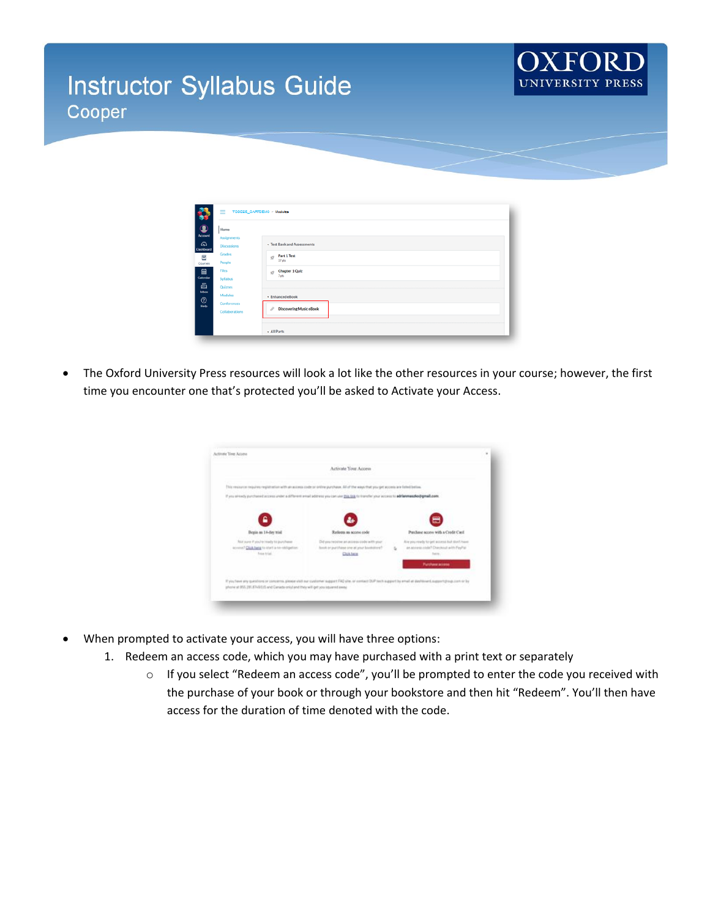# **Instructor Syllabus Guide** Cooper



| ы                           | ≡                        | TODD2E_CARTDEMO > Modules                   |
|-----------------------------|--------------------------|---------------------------------------------|
| $\bullet$<br><b>Account</b> | Home<br>Assignments      |                                             |
| ෬<br>Dashboard              | <b>Discussions</b>       | - Test Bank and Assessments                 |
| Ξ<br>Courses                | Grades<br>People         | Part 1 Test<br>$\mathbb{Z}^2$<br>$37$ pts   |
| $\Box$ Calendar             | <b>Files</b><br>Syllabus | Chapter 1 Quiz<br>$\mathbb{Z}^2_+$<br>7 pts |
| ₿<br>Inbox                  | Quizzes                  |                                             |
| $^{\circ}$<br>Help          | Modules<br>Conferences   | · Enhanced eBook                            |
|                             | Collaborations           | <b>Discovering Music eBook</b><br>io        |
|                             |                          | + All Parts                                 |

• The Oxford University Press resources will look a lot like the other resources in your course; however, the first time you encounter one that's protected you'll be asked to Activate your Access.

| Activate Your Access                                                                                                                                                                                                                            |                                                                                                              |    |                                                                                                  |  |  |  |  |
|-------------------------------------------------------------------------------------------------------------------------------------------------------------------------------------------------------------------------------------------------|--------------------------------------------------------------------------------------------------------------|----|--------------------------------------------------------------------------------------------------|--|--|--|--|
| This resource requires registration with an access code or philine purchase. All of the ways that you get access are listed believ.                                                                                                             |                                                                                                              |    |                                                                                                  |  |  |  |  |
| If you arrestly purchased access under a different email address you can use this link to transfer your access to addarmatiod gmall.com.                                                                                                        |                                                                                                              |    |                                                                                                  |  |  |  |  |
| ٥                                                                                                                                                                                                                                               |                                                                                                              |    |                                                                                                  |  |  |  |  |
| Begin as 14-day wish                                                                                                                                                                                                                            | Referen as access code                                                                                       |    | Purchase access with a Credit Carif.                                                             |  |  |  |  |
| Not yore if you're insidy to purchase<br>accessor) Client have to start a no-skillgation.<br>foia trial.                                                                                                                                        | Did you receive an access code with your<br>forestates and said are searching to Austi-<br><b>Click here</b> | b. | Alle you ready to get access but don't have<br>an acurate code? Checkoat with PayPat.<br>Tekita: |  |  |  |  |
|                                                                                                                                                                                                                                                 | - 97. W                                                                                                      |    | <b>Purchase access</b>                                                                           |  |  |  |  |
| If you have any questions or concerns, please visit our customer suggest FAD site, or contact DUP tech suggest by email at dechiose Knapport poup com or by<br>phone at 955,281,6744 0.15 and Canada only Land they will get you issuered away. |                                                                                                              |    |                                                                                                  |  |  |  |  |

- When prompted to activate your access, you will have three options:
	- 1. Redeem an access code, which you may have purchased with a print text or separately
		- o If you select "Redeem an access code", you'll be prompted to enter the code you received with the purchase of your book or through your bookstore and then hit "Redeem". You'll then have access for the duration of time denoted with the code.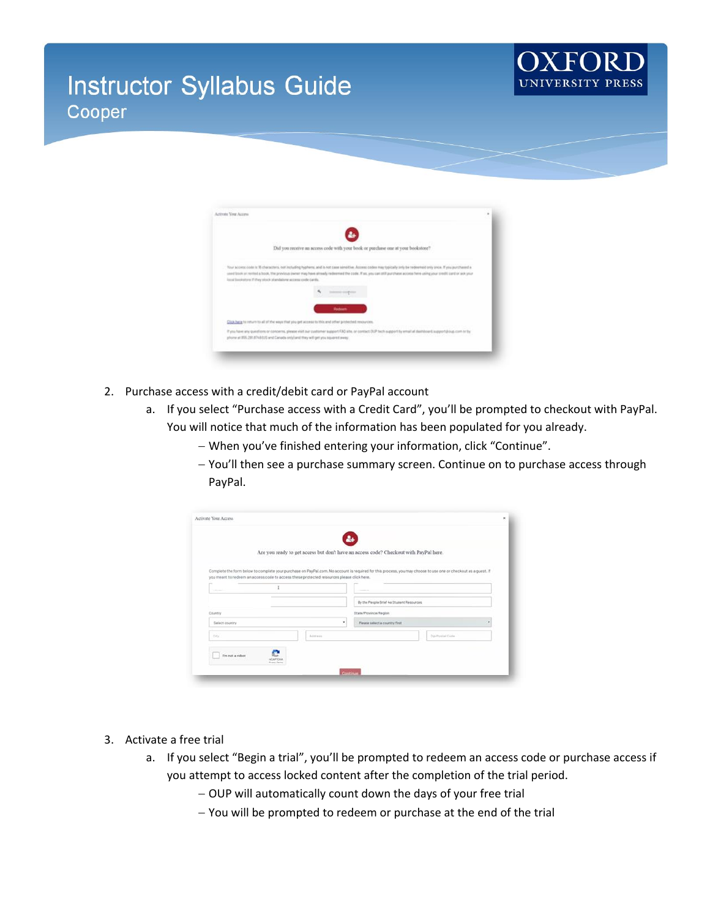# **Instructor Syllabus Guide** Cooper



| Did you receive an access code with your book or purchase one at your bookstore?                                                                                                                                                                                                                                                                                                                     |  |
|------------------------------------------------------------------------------------------------------------------------------------------------------------------------------------------------------------------------------------------------------------------------------------------------------------------------------------------------------------------------------------------------------|--|
| Your access code is 15 characters, not including hyphens, and is not case sensitive. Access codes may typically (eity be redeemed only once. If you purchased a<br>used book or revited a book. He previous owner may have already redeemed the code. If an, you can still purchase access here using your credit card or ask your<br>local localistors if they stock identitiers access code cards. |  |
| interest implica-<br><b>Hodoon</b>                                                                                                                                                                                                                                                                                                                                                                   |  |
| Click have to return to all of the ways that you get access to this and other protected resources.                                                                                                                                                                                                                                                                                                   |  |
| If you have any questions or concerns, please visit our customer support FAO also, or contact DUP tech support by email at dialriboard; support ploup, com or by<br>phone at 855, 281, 874 81/5 and Canada sniy) and they will get you aquared away.                                                                                                                                                 |  |

- 2. Purchase access with a credit/debit card or PayPal account
	- a. If you select "Purchase access with a Credit Card", you'll be prompted to checkout with PayPal. You will notice that much of the information has been populated for you already.
		- − When you've finished entering your information, click "Continue".
		- − You'll then see a purchase summary screen. Continue on to purchase access through PayPal.

|                 |           |                                                                                           | a.                                                                                                                                                             |               |  |  |  |
|-----------------|-----------|-------------------------------------------------------------------------------------------|----------------------------------------------------------------------------------------------------------------------------------------------------------------|---------------|--|--|--|
|                 |           |                                                                                           | Are you ready to get access but don't have an access code? Checkout with PayPal here.                                                                          |               |  |  |  |
|                 |           |                                                                                           | Complete the form below to complete your purchase on PayPal.com. No account is required for this process, you may choose to use one or checkout as a guest. If |               |  |  |  |
|                 |           | you meant to redeem an access code to access these protected resources please click here. |                                                                                                                                                                |               |  |  |  |
|                 |           |                                                                                           |                                                                                                                                                                |               |  |  |  |
|                 |           |                                                                                           | By the People Brief 4a Student Resources                                                                                                                       |               |  |  |  |
| <b>Dountry</b>  |           |                                                                                           | <b>State/Province/Region</b>                                                                                                                                   |               |  |  |  |
| Salact country  |           | ٠                                                                                         | Please select a country first                                                                                                                                  |               |  |  |  |
| OG <sup>2</sup> |           | Address                                                                                   |                                                                                                                                                                | Zuimetal Code |  |  |  |
| Tm not a robot  |           |                                                                                           |                                                                                                                                                                |               |  |  |  |
|                 | INCAPTCHA |                                                                                           |                                                                                                                                                                |               |  |  |  |

- 3. Activate a free trial
	- a. If you select "Begin a trial", you'll be prompted to redeem an access code or purchase access if you attempt to access locked content after the completion of the trial period.
		- − OUP will automatically count down the days of your free trial
		- − You will be prompted to redeem or purchase at the end of the trial